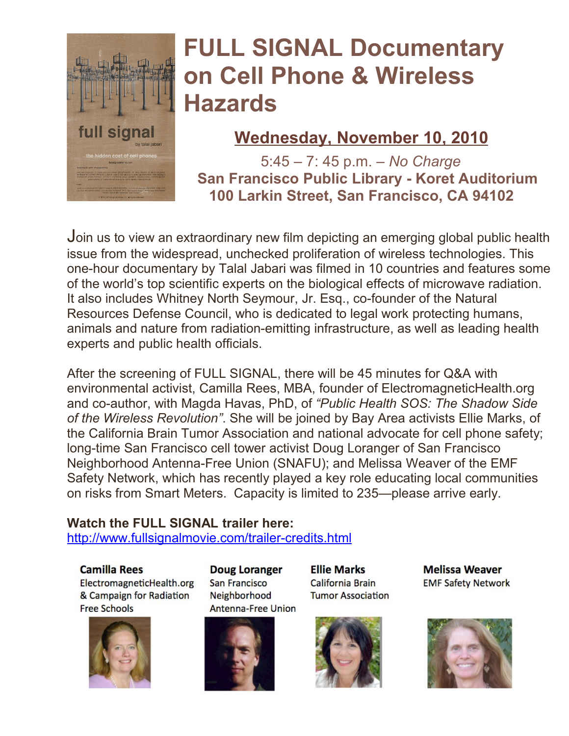

## **FULL SIGNAL Documentary on Cell Phone & Wireless Hazards**

### **Wednesday, November 10, 2010**

5:45 – 7: 45 p.m. – *No Charge*  **San Francisco Public Library - Koret Auditorium 100 Larkin Street, San Francisco, CA 94102**

Join us to view an extraordinary new film depicting an emerging global public health issue from the widespread, unchecked proliferation of wireless technologies. This one-hour documentary by Talal Jabari was filmed in 10 countries and features some of the world's top scientific experts on the biological effects of microwave radiation. It also includes Whitney North Seymour, Jr. Esq., co-founder of the Natural Resources Defense Council, who is dedicated to legal work protecting humans, animals and nature from radiation-emitting infrastructure, as well as leading health experts and public health officials.

After the screening of FULL SIGNAL, there will be 45 minutes for Q&A with environmental activist, Camilla Rees, MBA, founder of ElectromagneticHealth.org and co-author, with Magda Havas, PhD, of *"Public Health SOS: The Shadow Side of the Wireless Revolution"*. She will be joined by Bay Area activists Ellie Marks, of the California Brain Tumor Association and national advocate for cell phone safety; long-time San Francisco cell tower activist Doug Loranger of San Francisco Neighborhood Antenna-Free Union (SNAFU); and Melissa Weaver of the EMF Safety Network, which has recently played a key role educating local communities on risks from Smart Meters. Capacity is limited to 235—please arrive early.

#### **Watch the FULL SIGNAL trailer here:**

<http://www.fullsignalmovie.com/trailer-credits.html>

#### **Camilla Rees**

ElectromagneticHealth.org & Campaign for Radiation **Free Schools** 



Doug Loranger **San Francisco** Neighborhood **Antenna-Free Union** 



**Ellie Marks** California Brain **Tumor Association** 



**Melissa Weaver EMF Safety Network** 

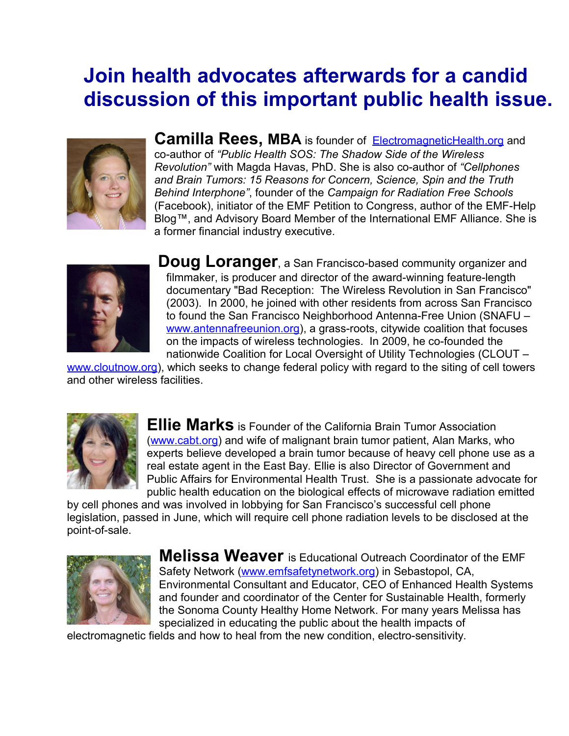## **Join health advocates afterwards for a candid discussion of this important public health issue.**



**Camilla Rees, MBA** is founder of [ElectromagneticHealth.org](http://www.ElectromagneticHealth.org/) and co-author of *"Public Health SOS: The Shadow Side of the Wireless Revolution"* with Magda Havas, PhD. She is also co-author of *"Cellphones and Brain Tumors: 15 Reasons for Concern, Science, Spin and the Truth Behind Interphone"*, founder of the *Campaign for Radiation Free Schools* (Facebook), initiator of the EMF Petition to Congress, author of the EMF-Help Blog™, and Advisory Board Member of the International EMF Alliance. She is a former financial industry executive.



**Doug Loranger**, a San Francisco-based community organizer and filmmaker, is producer and director of the award-winning feature-length documentary "Bad Reception: The Wireless Revolution in San Francisco" (2003). In 2000, he joined with other residents from across San Francisco to found the San Francisco Neighborhood Antenna-Free Union (SNAFU – [www.antennafreeunion.org\)](http://www.antennafreeunion.org/), a grass-roots, citywide coalition that focuses on the impacts of wireless technologies. In 2009, he co-founded the nationwide Coalition for Local Oversight of Utility Technologies (CLOUT –

[www.cloutnow.org\)](http://www.cloutnow.org/), which seeks to change federal policy with regard to the siting of cell towers and other wireless facilities.



**Ellie Marks** is Founder of the California Brain Tumor Association [\(www.cabt.org\)](http://www.cabt.org/) and wife of malignant brain tumor patient, Alan Marks, who experts believe developed a brain tumor because of heavy cell phone use as a real estate agent in the East Bay. Ellie is also Director of Government and Public Affairs for Environmental Health Trust. She is a passionate advocate for public health education on the biological effects of microwave radiation emitted

by cell phones and was involved in lobbying for San Francisco's successful cell phone legislation, passed in June, which will require cell phone radiation levels to be disclosed at the point-of-sale.



**Melissa Weaver** is Educational Outreach Coordinator of the EMF Safety Network [\(www.emfsafetynetwork.org\)](http://www.emfsafetynetwork.org/) in Sebastopol, CA, Environmental Consultant and Educator, CEO of Enhanced Health Systems and founder and coordinator of the Center for Sustainable Health, formerly the Sonoma County Healthy Home Network. For many years Melissa has specialized in educating the public about the health impacts of

electromagnetic fields and how to heal from the new condition, electro-sensitivity.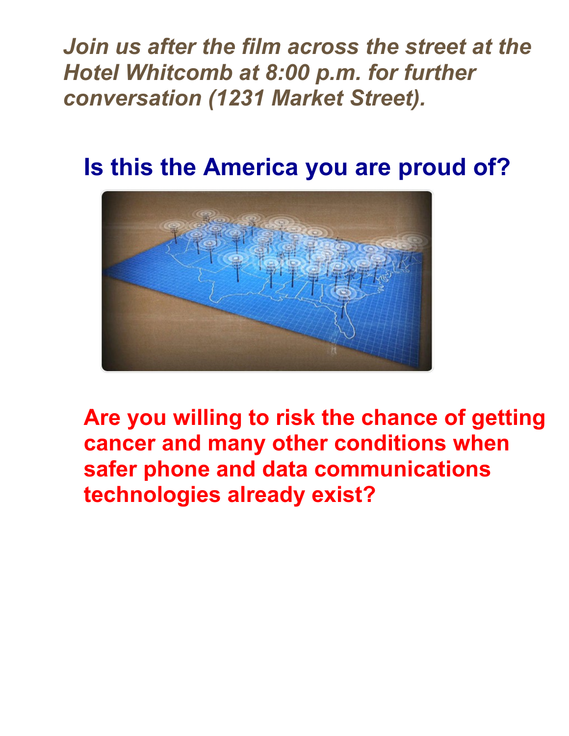*Join us after the film across the street at the Hotel Whitcomb at 8:00 p.m. for further conversation (1231 Market Street).*

**Is this the America you are proud of?**



**Are you willing to risk the chance of getting cancer and many other conditions when safer phone and data communications technologies already exist?**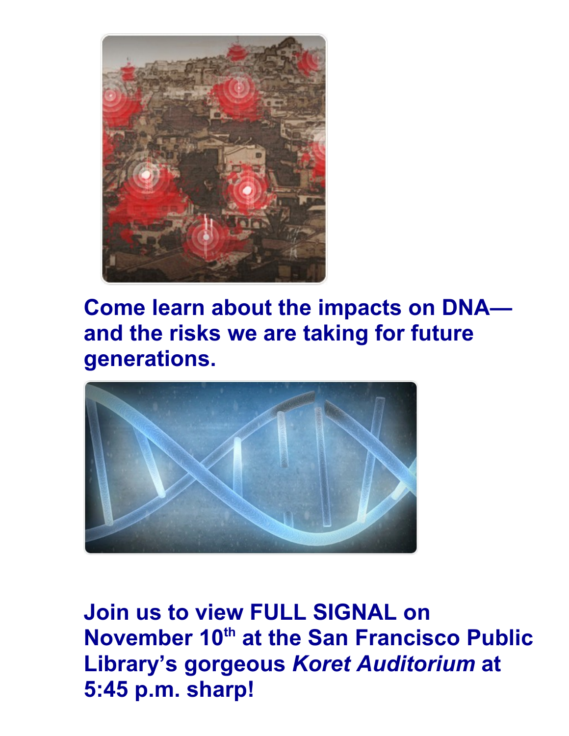

**Come learn about the impacts on DNA and the risks we are taking for future generations.**



**Join us to view FULL SIGNAL on November 10th at the San Francisco Public Library's gorgeous** *Koret Auditorium* **at 5:45 p.m. sharp!**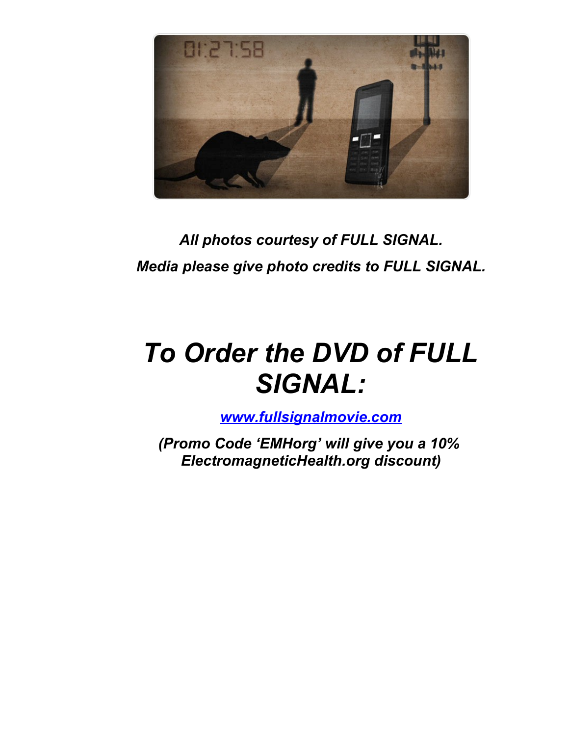

*All photos courtesy of FULL SIGNAL. Media please give photo credits to FULL SIGNAL.*

# *To Order the DVD of FULL SIGNAL:*

*[www.fullsignalmovie.com](http://www.fullsignalmovie.com/)*

*(Promo Code 'EMHorg' will give you a 10% ElectromagneticHealth.org discount)*